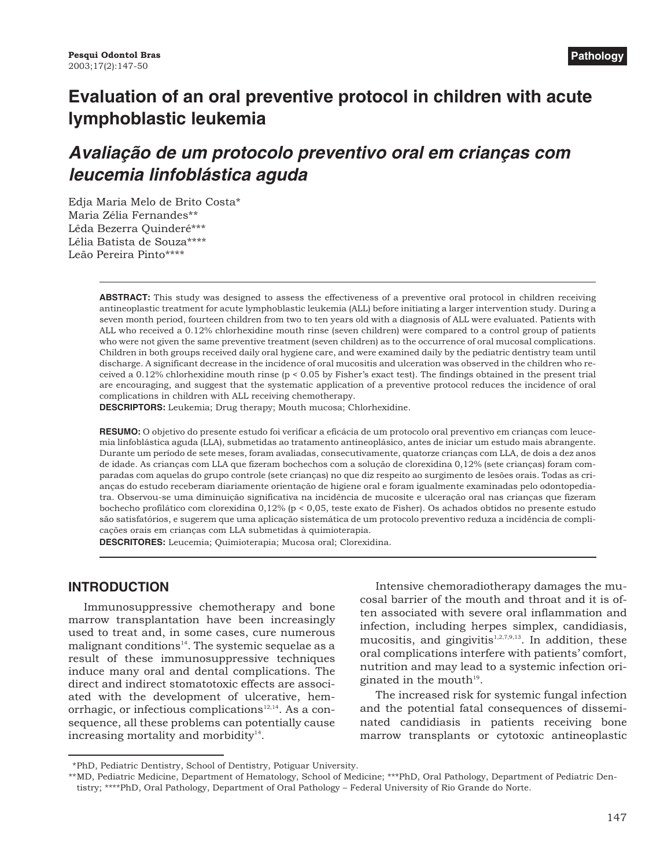# **Evaluation of an oral preventive protocol in children with acute lymphoblastic leukemia**

# *Avaliação de um protocolo preventivo oral em crianças com leucemia linfoblástica aguda*

Edja Maria Melo de Brito Costa\* Maria Zélia Fernandes\*\* Lêda Bezerra Quinderé\*\*\* Lélia Batista de Souza\*\*\*\* Leão Pereira Pinto\*\*\*\*

> **ABSTRACT:** This study was designed to assess the effectiveness of a preventive oral protocol in children receiving antineoplastic treatment for acute lymphoblastic leukemia (ALL) before initiating a larger intervention study. During a seven month period, fourteen children from two to ten years old with a diagnosis of ALL were evaluated. Patients with ALL who received a 0.12% chlorhexidine mouth rinse (seven children) were compared to a control group of patients who were not given the same preventive treatment (seven children) as to the occurrence of oral mucosal complications. Children in both groups received daily oral hygiene care, and were examined daily by the pediatric dentistry team until discharge. A significant decrease in the incidence of oral mucositis and ulceration was observed in the children who received a 0.12% chlorhexidine mouth rinse (p < 0.05 by Fisher's exact test). The findings obtained in the present trial are encouraging, and suggest that the systematic application of a preventive protocol reduces the incidence of oral complications in children with ALL receiving chemotherapy.

**DESCRIPTORS:** Leukemia; Drug therapy; Mouth mucosa; Chlorhexidine.

**RESUMO:** O objetivo do presente estudo foi verificar a eficácia de um protocolo oral preventivo em crianças com leucemia linfoblástica aguda (LLA), submetidas ao tratamento antineoplásico, antes de iniciar um estudo mais abrangente. Durante um período de sete meses, foram avaliadas, consecutivamente, quatorze crianças com LLA, de dois a dez anos de idade. As crianças com LLA que fizeram bochechos com a solução de clorexidina 0,12% (sete crianças) foram comparadas com aquelas do grupo controle (sete crianças) no que diz respeito ao surgimento de lesões orais. Todas as crianças do estudo receberam diariamente orientação de higiene oral e foram igualmente examinadas pelo odontopediatra. Observou-se uma diminuição significativa na incidência de mucosite e ulceração oral nas crianças que fizeram bochecho profilático com clorexidina 0,12% (p < 0,05, teste exato de Fisher). Os achados obtidos no presente estudo são satisfatórios, e sugerem que uma aplicação sistemática de um protocolo preventivo reduza a incidência de complicações orais em crianças com LLA submetidas à quimioterapia.

**DESCRITORES:** Leucemia; Quimioterapia; Mucosa oral; Clorexidina.

## **INTRODUCTION**

Immunosuppressive chemotherapy and bone marrow transplantation have been increasingly used to treat and, in some cases, cure numerous malignant conditions<sup>14</sup>. The systemic sequelae as a result of these immunosuppressive techniques induce many oral and dental complications. The direct and indirect stomatotoxic effects are associated with the development of ulcerative, hemorrhagic, or infectious complications<sup>12,14</sup>. As a consequence, all these problems can potentially cause increasing mortality and morbidity<sup>14</sup>.

Intensive chemoradiotherapy damages the mucosal barrier of the mouth and throat and it is often associated with severe oral inflammation and infection, including herpes simplex, candidiasis, mucositis, and gingivitis $1,2,7,9,13$ . In addition, these oral complications interfere with patients' comfort, nutrition and may lead to a systemic infection originated in the mouth $19$ .

The increased risk for systemic fungal infection and the potential fatal consequences of disseminated candidiasis in patients receiving bone marrow transplants or cytotoxic antineoplastic

<sup>\*</sup>PhD, Pediatric Dentistry, School of Dentistry, Potiguar University.

<sup>\*\*</sup>MD, Pediatric Medicine, Department of Hematology, School of Medicine; \*\*\*PhD, Oral Pathology, Department of Pediatric Dentistry; \*\*\*\*PhD, Oral Pathology, Department of Oral Pathology – Federal University of Rio Grande do Norte.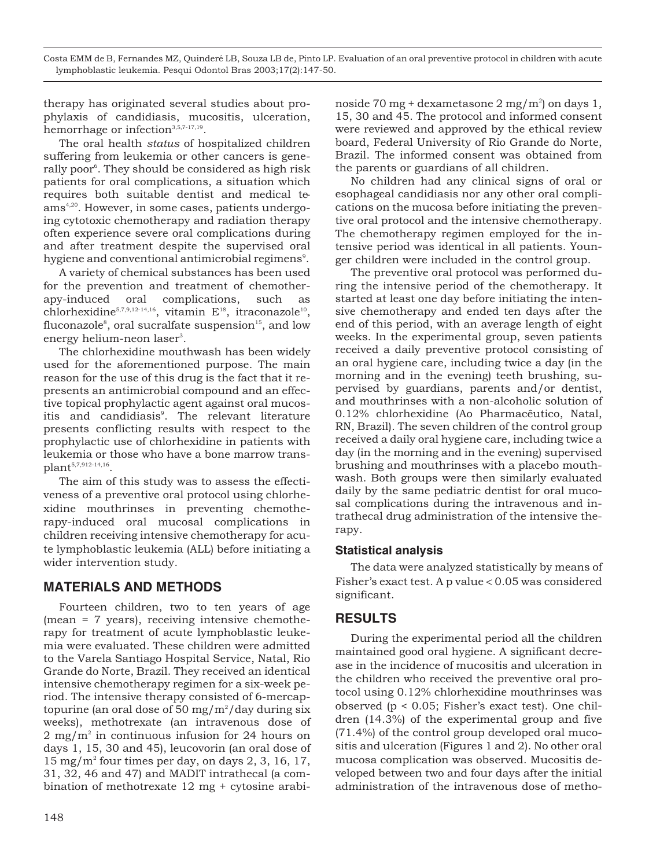Costa EMM de B, Fernandes MZ, Quinderé LB, Souza LB de, Pinto LP. Evaluation of an oral preventive protocol in children with acute lymphoblastic leukemia. Pesqui Odontol Bras 2003;17(2):147-50.

therapy has originated several studies about prophylaxis of candidiasis, mucositis, ulceration, hemorrhage or infection<sup>3,5,7-17,19</sup>.

The oral health *status* of hospitalized children suffering from leukemia or other cancers is generally poor<sup>6</sup>. They should be considered as high risk patients for oral complications, a situation which requires both suitable dentist and medical teams<sup>4,20</sup>. However, in some cases, patients undergoing cytotoxic chemotherapy and radiation therapy often experience severe oral complications during and after treatment despite the supervised oral hygiene and conventional antimicrobial regimens<sup>9</sup>.

A variety of chemical substances has been used for the prevention and treatment of chemotherapy-induced oral complications, such as chlorhexidine<sup>5,7,9,12-14,16</sup>, vitamin  $E^{18}$ , itraconazole<sup>10</sup>, fluconazole $^{\text{s}}$ , oral sucralfate suspension $^{\text{15}}$ , and low energy helium-neon laser<sup>3</sup>.

The chlorhexidine mouthwash has been widely used for the aforementioned purpose. The main reason for the use of this drug is the fact that it represents an antimicrobial compound and an effective topical prophylactic agent against oral mucositis and candidiasis<sup>9</sup>. The relevant literature presents conflicting results with respect to the prophylactic use of chlorhexidine in patients with leukemia or those who have a bone marrow transplant5,7,912-14,16.

The aim of this study was to assess the effectiveness of a preventive oral protocol using chlorhexidine mouthrinses in preventing chemotherapy-induced oral mucosal complications in children receiving intensive chemotherapy for acute lymphoblastic leukemia (ALL) before initiating a wider intervention study.

## **MATERIALS AND METHODS**

Fourteen children, two to ten years of age (mean = 7 years), receiving intensive chemotherapy for treatment of acute lymphoblastic leukemia were evaluated. These children were admitted to the Varela Santiago Hospital Service, Natal, Rio Grande do Norte, Brazil. They received an identical intensive chemotherapy regimen for a six-week period. The intensive therapy consisted of 6-mercaptopurine (an oral dose of 50 mg/m<sup>2</sup>/day during six weeks), methotrexate (an intravenous dose of  $2 \text{ mg/m}^2$  in continuous infusion for 24 hours on days 1, 15, 30 and 45), leucovorin (an oral dose of  $15 \text{ mg/m}^2$  four times per day, on days 2, 3, 16, 17, 31, 32, 46 and 47) and MADIT intrathecal (a combination of methotrexate 12 mg + cytosine arabi-

No children had any clinical signs of oral or esophageal candidiasis nor any other oral complications on the mucosa before initiating the preventive oral protocol and the intensive chemotherapy. The chemotherapy regimen employed for the intensive period was identical in all patients. Younger children were included in the control group.

The preventive oral protocol was performed during the intensive period of the chemotherapy. It started at least one day before initiating the intensive chemotherapy and ended ten days after the end of this period, with an average length of eight weeks. In the experimental group, seven patients received a daily preventive protocol consisting of an oral hygiene care, including twice a day (in the morning and in the evening) teeth brushing, supervised by guardians, parents and/or dentist, and mouthrinses with a non-alcoholic solution of 0.12% chlorhexidine (Ao Pharmacêutico, Natal, RN, Brazil). The seven children of the control group received a daily oral hygiene care, including twice a day (in the morning and in the evening) supervised brushing and mouthrinses with a placebo mouthwash. Both groups were then similarly evaluated daily by the same pediatric dentist for oral mucosal complications during the intravenous and intrathecal drug administration of the intensive therapy.

#### **Statistical analysis**

The data were analyzed statistically by means of Fisher's exact test. A p value  $< 0.05$  was considered significant.

## **RESULTS**

During the experimental period all the children maintained good oral hygiene. A significant decrease in the incidence of mucositis and ulceration in the children who received the preventive oral protocol using 0.12% chlorhexidine mouthrinses was observed (p < 0.05; Fisher's exact test). One children (14.3%) of the experimental group and five (71.4%) of the control group developed oral mucositis and ulceration (Figures 1 and 2). No other oral mucosa complication was observed. Mucositis developed between two and four days after the initial administration of the intravenous dose of metho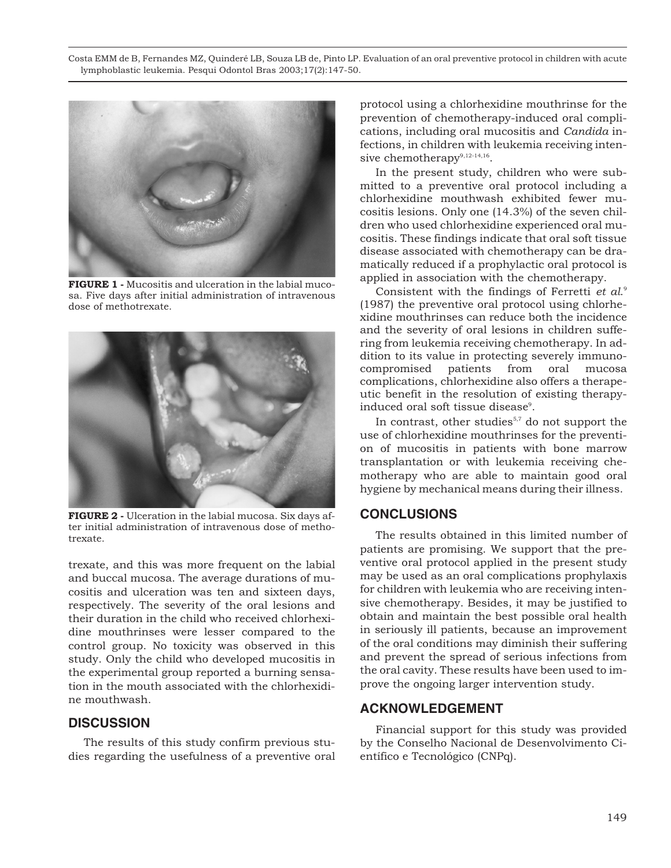Costa EMM de B, Fernandes MZ, Quinderé LB, Souza LB de, Pinto LP. Evaluation of an oral preventive protocol in children with acute lymphoblastic leukemia. Pesqui Odontol Bras 2003;17(2):147-50.



**FIGURE 1 -** Mucositis and ulceration in the labial mucosa. Five days after initial administration of intravenous dose of methotrexate.



**FIGURE 2 -** Ulceration in the labial mucosa. Six days after initial administration of intravenous dose of methotrexate.

trexate, and this was more frequent on the labial and buccal mucosa. The average durations of mucositis and ulceration was ten and sixteen days, respectively. The severity of the oral lesions and their duration in the child who received chlorhexidine mouthrinses were lesser compared to the control group. No toxicity was observed in this study. Only the child who developed mucositis in the experimental group reported a burning sensation in the mouth associated with the chlorhexidine mouthwash.

## **DISCUSSION**

The results of this study confirm previous studies regarding the usefulness of a preventive oral protocol using a chlorhexidine mouthrinse for the prevention of chemotherapy-induced oral complications, including oral mucositis and *Candida* infections, in children with leukemia receiving intensive chemotherapy $9,12-14,16$ .

In the present study, children who were submitted to a preventive oral protocol including a chlorhexidine mouthwash exhibited fewer mucositis lesions. Only one (14.3%) of the seven children who used chlorhexidine experienced oral mucositis. These findings indicate that oral soft tissue disease associated with chemotherapy can be dramatically reduced if a prophylactic oral protocol is applied in association with the chemotherapy.

Consistent with the findings of Ferretti *et al*. 9 (1987) the preventive oral protocol using chlorhexidine mouthrinses can reduce both the incidence and the severity of oral lesions in children suffering from leukemia receiving chemotherapy. In addition to its value in protecting severely immunocompromised patients from oral mucosa complications, chlorhexidine also offers a therapeutic benefit in the resolution of existing therapyinduced oral soft tissue disease<sup>9</sup>.

In contrast, other studies $5,7$  do not support the use of chlorhexidine mouthrinses for the prevention of mucositis in patients with bone marrow transplantation or with leukemia receiving chemotherapy who are able to maintain good oral hygiene by mechanical means during their illness.

#### **CONCLUSIONS**

The results obtained in this limited number of patients are promising. We support that the preventive oral protocol applied in the present study may be used as an oral complications prophylaxis for children with leukemia who are receiving intensive chemotherapy. Besides, it may be justified to obtain and maintain the best possible oral health in seriously ill patients, because an improvement of the oral conditions may diminish their suffering and prevent the spread of serious infections from the oral cavity. These results have been used to improve the ongoing larger intervention study.

#### **ACKNOWLEDGEMENT**

Financial support for this study was provided by the Conselho Nacional de Desenvolvimento Científico e Tecnológico (CNPq).